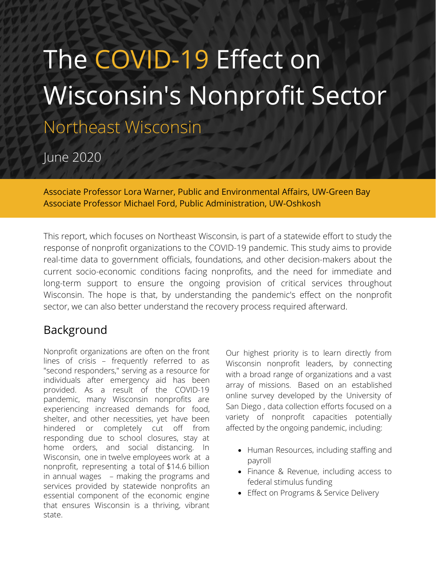# The COVID-19 Effect on Wisconsin's Nonprofit Sector

Northeast Wisconsin

June 2020

Associate Professor Lora Warner, Public and Environmental Affairs, UW-Green Bay Associate Professor Michael Ford, Public Administration, UW-Oshkosh

This report, which focuses on Northeast Wisconsin, is part of a statewide effort to study the response of nonprofit organizations to the COVID-19 pandemic. This study aims to provide real-time data to government officials, foundations, and other decision-makers about the current socio-economic conditions facing nonprofits, and the need for immediate and long-term support to ensure the ongoing provision of critical services throughout Wisconsin. The hope is that, by understanding the pandemic's effect on the nonprofit sector, we can also better understand the recovery process required afterward.

# Background

Nonprofit organizations are often on the front lines of crisis – frequently referred to as "second responders," serving as a resource for individuals after emergency aid has been provided. As a result of the COVID-19 pandemic, many Wisconsin nonprofits are experiencing increased demands for food, shelter, and other necessities, yet have been hindered or completely cut off from responding due to school closures, stay at home orders, and social distancing. In Wisconsin, one in twelve employees work at a nonprofit, representing a total of \$14.6 billion in annual wages – making the programs and services provided by statewide nonprofits an essential component of the economic engine that ensures Wisconsin is a thriving, vibrant state.

Our highest priority is to learn directly from Wisconsin nonprofit leaders, by connecting with a broad range of organizations and a vast array of missions. Based on an established online survey developed by the University of San Diego , data collection efforts focused on a variety of nonprofit capacities potentially affected by the ongoing pandemic, including:

- Human Resources, including staffing and payroll
- Finance & Revenue, including access to federal stimulus funding
- Effect on Programs & Service Delivery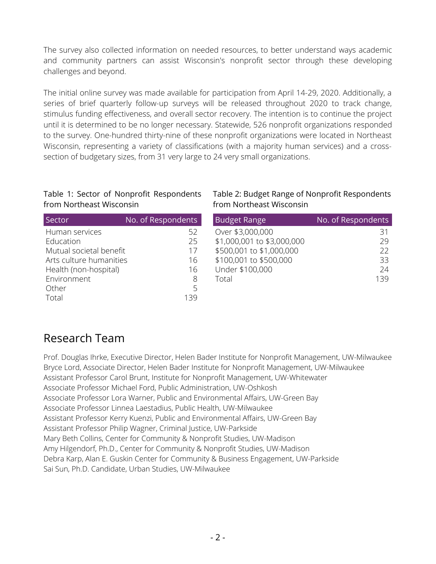The survey also collected information on needed resources, to better understand ways academic and community partners can assist Wisconsin's nonprofit sector through these developing challenges and beyond.

The initial online survey was made available for participation from April 14-29, 2020. Additionally, a series of brief quarterly follow-up surveys will be released throughout 2020 to track change, stimulus funding effectiveness, and overall sector recovery. The intention is to continue the project until it is determined to be no longer necessary. Statewide, 526 nonprofit organizations responded to the survey. One-hundred thirty-nine of these nonprofit organizations were located in Northeast Wisconsin, representing a variety of classifications (with a majority human services) and a crosssection of budgetary sizes, from 31 very large to 24 very small organizations.

#### Table 1: Sector of Nonprofit Respondents from Northeast Wisconsin

| Sector                  | No. of Respondents | <b>Budget Range</b>        | No. of |
|-------------------------|--------------------|----------------------------|--------|
| Human services          | 52                 | Over \$3,000,000           |        |
| Education               | 25                 | \$1,000,001 to \$3,000,000 |        |
| Mutual societal benefit | 17                 | \$500,001 to \$1,000,000   |        |
| Arts culture humanities | 16                 | \$100,001 to \$500,000     |        |
| Health (non-hospital)   | 16                 | Under \$100,000            |        |
| Environment             | 8                  | Total                      |        |
| Other                   | 5                  |                            |        |
| Total                   | 139                |                            |        |

#### Table 2: Budget Range of Nonprofit Respondents from Northeast Wisconsin

| <b>Budget Range</b>        | No. of Respondents |
|----------------------------|--------------------|
| Over \$3,000,000           | 31                 |
| \$1,000,001 to \$3,000,000 | 29                 |
| \$500,001 to \$1,000,000   | 22                 |
| \$100,001 to \$500,000     | 33                 |
| Under \$100,000            | 24                 |
| Total                      | 139                |

# Research Team

Prof. Douglas Ihrke, Executive Director, Helen Bader Institute for Nonprofit Management, UW-Milwaukee Bryce Lord, Associate Director, Helen Bader Institute for Nonprofit Management, UW-Milwaukee Assistant Professor Carol Brunt, Institute for Nonprofit Management, UW-Whitewater Associate Professor Michael Ford, Public Administration, UW-Oshkosh Associate Professor Lora Warner, Public and Environmental Affairs, UW-Green Bay Associate Professor Linnea Laestadius, Public Health, UW-Milwaukee Assistant Professor Kerry Kuenzi, Public and Environmental Affairs, UW-Green Bay Assistant Professor Philip Wagner, Criminal Justice, UW-Parkside Mary Beth Collins, Center for Community & Nonprofit Studies, UW-Madison Amy Hilgendorf, Ph.D., Center for Community & Nonprofit Studies, UW-Madison Debra Karp, Alan E. Guskin Center for Community & Business Engagement, UW-Parkside Sai Sun, Ph.D. Candidate, Urban Studies, UW-Milwaukee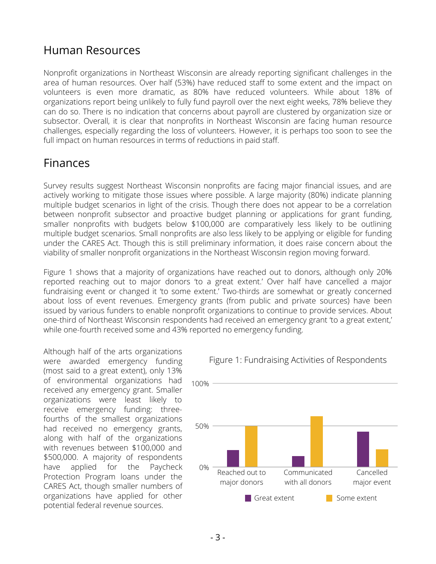#### Human Resources

Nonprofit organizations in Northeast Wisconsin are already reporting significant challenges in the area of human resources. Over half (53%) have reduced staff to some extent and the impact on volunteers is even more dramatic, as 80% have reduced volunteers. While about 18% of organizations report being unlikely to fully fund payroll over the next eight weeks, 78% believe they can do so. There is no indication that concerns about payroll are clustered by organization size or subsector. Overall, it is clear that nonprofits in Northeast Wisconsin are facing human resource challenges, especially regarding the loss of volunteers. However, it is perhaps too soon to see the full impact on human resources in terms of reductions in paid staff.

### Finances

Survey results suggest Northeast Wisconsin nonprofits are facing major financial issues, and are actively working to mitigate those issues where possible. A large majority (80%) indicate planning multiple budget scenarios in light of the crisis. Though there does not appear to be a correlation between nonprofit subsector and proactive budget planning or applications for grant funding, smaller nonprofits with budgets below \$100,000 are comparatively less likely to be outlining multiple budget scenarios. Small nonprofits are also less likely to be applying or eligible for funding under the CARES Act. Though this is still preliminary information, it does raise concern about the viability of smaller nonprofit organizations in the Northeast Wisconsin region moving forward.

Figure 1 shows that a majority of organizations have reached out to donors, although only 20% reported reaching out to major donors 'to a great extent.' Over half have cancelled a major fundraising event or changed it 'to some extent.' Two-thirds are somewhat or greatly concerned about loss of event revenues. Emergency grants (from public and private sources) have been issued by various funders to enable nonprofit organizations to continue to provide services. About one-third of Northeast Wisconsin respondents had received an emergency grant 'to a great extent,' while one-fourth received some and 43% reported no emergency funding.

Although half of the arts organizations were awarded emergency funding (most said to a great extent), only 13% of environmental organizations had received any emergency grant. Smaller organizations were least likely to receive emergency funding: threefourths of the smallest organizations had received no emergency grants, along with half of the organizations with revenues between \$100,000 and \$500,000. A majority of respondents have applied for the Paycheck Protection Program loans under the CARES Act, though smaller numbers of organizations have applied for other potential federal revenue sources.



Figure 1: Fundraising Activities of Respondents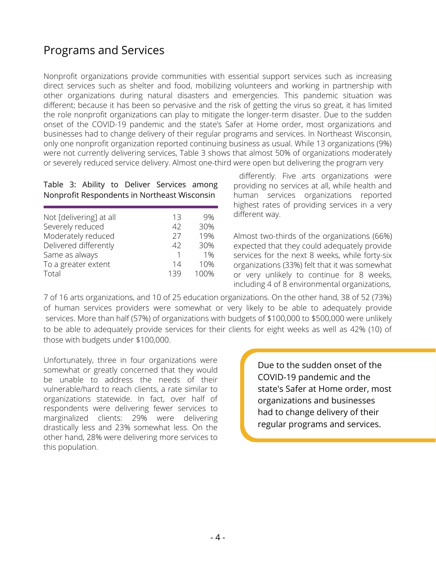## Programs and Services

Nonprofit organizations provide communities with essential support services such as increasing direct services such as shelter and food, mobilizing volunteers and working in partnership with other organizations during natural disasters and emergencies. This pandemic situation was different; because it has been so pervasive and the risk of getting the virus so great, it has limited the role nonprofit organizations can play to mitigate the longer-term disaster. Due to the sudden onset of the COVID-19 pandemic and the state's Safer at Home order, most organizations and businesses had to change delivery of their regular programs and services. In Northeast Wisconsin, only one nonprofit organization reported continuing business as usual. While 13 organizations (9%) were not currently delivering services, Table 3 shows that almost 50% of organizations moderately or severely reduced service delivery. Almost one-third were open but delivering the program very

Table 3: Ability to Deliver Services among Nonprofit Respondents in Northeast Wisconsin

| Not [delivering] at all | 13  | 9%   |
|-------------------------|-----|------|
| Severely reduced        | 42  | 30%  |
| Moderately reduced      | 27  | 19%  |
| Delivered differently   | 42  | 30%  |
| Same as always          |     | 1%   |
| To a greater extent     | 14  | 10%  |
| Total                   | 139 | 100% |
|                         |     |      |

differently. Five arts organizations were providing no services at all, while health and human services organizations reported highest rates of providing services in a very different way.

Almost two-thirds of the organizations (66%) expected that they could adequately provide services for the next 8 weeks, while forty-six organizations (33%) felt that it was somewhat or very unlikely to continue for 8 weeks, including 4 of 8 environmental organizations,

7 of 16 arts organizations, and 10 of 25 education organizations. On the other hand, 38 of 52 (73%) of human services providers were somewhat or very likely to be able to adequately provide services. More than half (57%) of organizations with budgets of \$100,000 to \$500,000 were unlikely to be able to adequately provide services for their clients for eight weeks as well as 42% (10) of those with budgets under \$100,000.

Unfortunately, three in four organizations were somewhat or greatly concerned that they would be unable to address the needs of their vulnerable/hard to reach clients, a rate similar to organizations statewide. In fact, over half of respondents were delivering fewer services to marginalized clients: 29% were delivering drastically less and 23% somewhat less. On the other hand, 28% were delivering more services to this population.

Due to the sudden onset of the COVID-19 pandemic and the state's Safer at Home order, most organizations and businesses had to change delivery of their regular programs and services.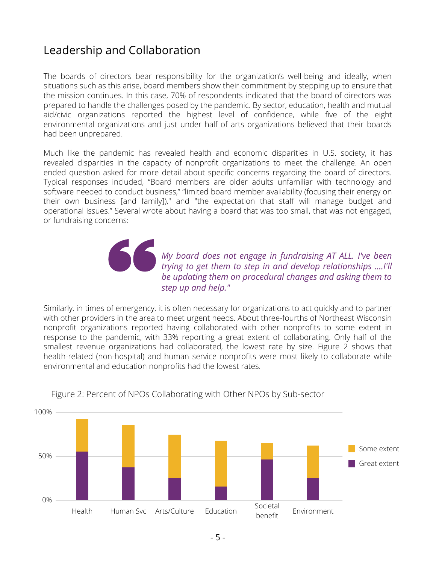## Leadership and Collaboration

The boards of directors bear responsibility for the organization's well-being and ideally, when situations such as this arise, board members show their commitment by stepping up to ensure that the mission continues. In this case, 70% of respondents indicated that the board of directors was prepared to handle the challenges posed by the pandemic. By sector, education, health and mutual aid/civic organizations reported the highest level of confidence, while five of the eight environmental organizations and just under half of arts organizations believed that their boards had been unprepared.

Much like the pandemic has revealed health and economic disparities in U.S. society, it has revealed disparities in the capacity of nonprofit organizations to meet the challenge. An open ended question asked for more detail about specific concerns regarding the board of directors. Typical responses included, "Board members are older adults unfamiliar with technology and software needed to conduct business," "limited board member availability (focusing their energy on their own business [and family])," and "the expectation that staff will manage budget and operational issues." Several wrote about having a board that was too small, that was not engaged, or fundraising concerns:

> *My board does not engage in fundraising AT ALL. I've been trying to get them to step in and develop relationships ….I'll be updating them on procedural changes and asking them to step up and help."*

Similarly, in times of emergency, it is often necessary for organizations to act quickly and to partner with other providers in the area to meet urgent needs. About three-fourths of Northeast Wisconsin nonprofit organizations reported having collaborated with other nonprofits to some extent in response to the pandemic, with 33% reporting a great extent of collaborating. Only half of the smallest revenue organizations had collaborated, the lowest rate by size. Figure 2 shows that health-related (non-hospital) and human service nonprofits were most likely to collaborate while environmental and education nonprofits had the lowest rates.



Figure 2: Percent of NPOs Collaborating with Other NPOs by Sub-sector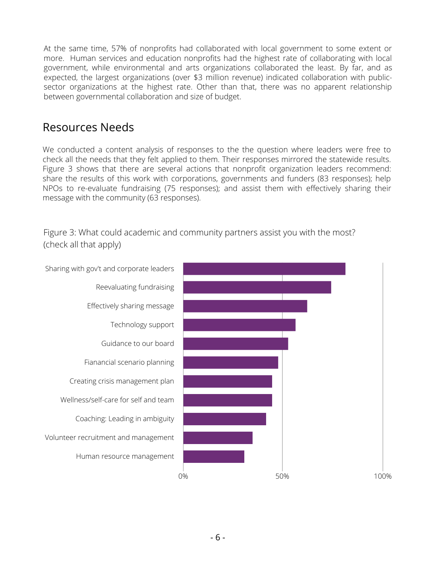At the same time, 57% of nonprofits had collaborated with local government to some extent or more. Human services and education nonprofits had the highest rate of collaborating with local government, while environmental and arts organizations collaborated the least. By far, and as expected, the largest organizations (over \$3 million revenue) indicated collaboration with publicsector organizations at the highest rate. Other than that, there was no apparent relationship between governmental collaboration and size of budget.

#### Resources Needs

We conducted a content analysis of responses to the the question where leaders were free to check all the needs that they felt applied to them. Their responses mirrored the statewide results. Figure 3 shows that there are several actions that nonprofit organization leaders recommend: share the results of this work with corporations, governments and funders (83 responses); help NPOs to re-evaluate fundraising (75 responses); and assist them with effectively sharing their message with the community (63 responses).

Figure 3: What could academic and community partners assist you with the most? (check all that apply)